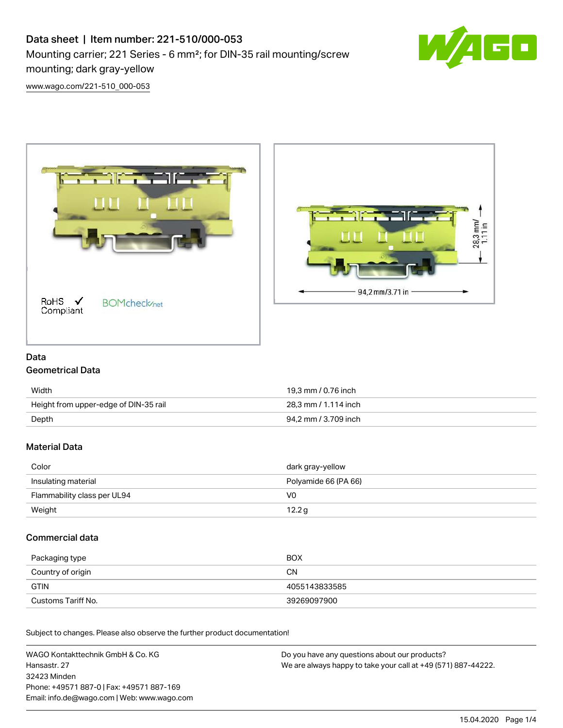# Data sheet | Item number: 221-510/000-053 Mounting carrier; 221 Series - 6 mm²; for DIN-35 rail mounting/screw mounting; dark gray-yellow



[www.wago.com/221-510\\_000-053](http://www.wago.com/221-510_000-053)





# Data

# Geometrical Data

| Width                                 | 19.3 mm / 0.76 inch  |
|---------------------------------------|----------------------|
| Height from upper-edge of DIN-35 rail | 28.3 mm / 1.114 inch |
| Depth                                 | 94.2 mm / 3.709 inch |

# Material Data

| Color                       | dark gray-yellow     |
|-----------------------------|----------------------|
| Insulating material         | Polyamide 66 (PA 66) |
| Flammability class per UL94 | VO                   |
| Weight                      | 12.2 g               |

## Commercial data

| Packaging type     | BOX           |
|--------------------|---------------|
| Country of origin  | CN            |
| <b>GTIN</b>        | 4055143833585 |
| Customs Tariff No. | 39269097900   |

Subject to changes. Please also observe the further product documentation!

WAGO Kontakttechnik GmbH & Co. KG Hansastr. 27 32423 Minden Phone: +49571 887-0 | Fax: +49571 887-169 Email: info.de@wago.com | Web: www.wago.com Do you have any questions about our products? We are always happy to take your call at +49 (571) 887-44222.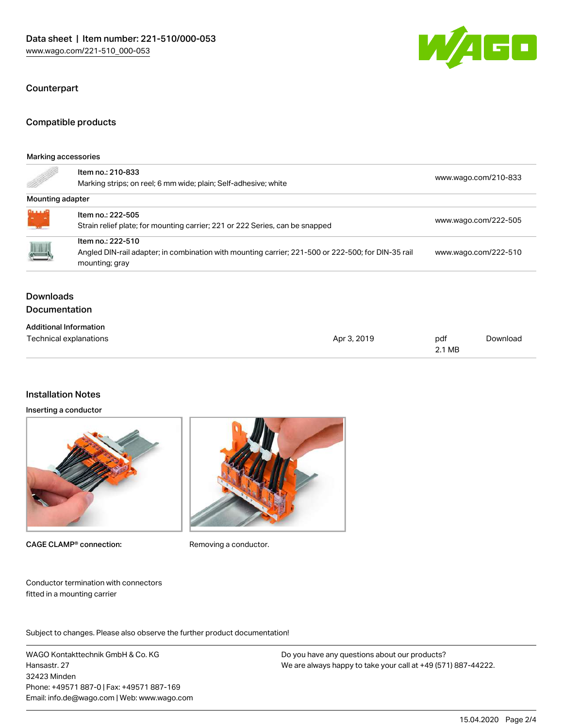

#### **Counterpart**

#### Compatible products

#### Marking accessories

| e de la completa de la completa de la completa de la completa de la completa de la completa de la completa de<br>La completa de la completa de la completa de la completa de la completa de la completa de la completa de la co | Item no.: 210-833<br>Marking strips; on reel; 6 mm wide; plain; Self-adhesive; white                                                      | www.wago.com/210-833 |
|---------------------------------------------------------------------------------------------------------------------------------------------------------------------------------------------------------------------------------|-------------------------------------------------------------------------------------------------------------------------------------------|----------------------|
| Mounting adapter                                                                                                                                                                                                                |                                                                                                                                           |                      |
| 0.111<br>$E_{\rm{m}}$ $\approx$                                                                                                                                                                                                 | Item no.: 222-505<br>Strain relief plate; for mounting carrier; 221 or 222 Series, can be snapped                                         | www.wago.com/222-505 |
| $\begin{array}{c} \hline \end{array}$                                                                                                                                                                                           | Item no.: 222-510<br>Angled DIN-rail adapter; in combination with mounting carrier; 221-500 or 222-500; for DIN-35 rail<br>mounting; gray | www.wago.com/222-510 |
|                                                                                                                                                                                                                                 |                                                                                                                                           |                      |

### **Downloads** Documentation

| <b>Additional Information</b> |             |        |          |
|-------------------------------|-------------|--------|----------|
| Technical explanations        | Apr 3, 2019 | pdf    | Download |
|                               |             | 2.1 MB |          |

## Installation Notes

#### Inserting a conductor



CAGE CLAMP<sup>®</sup> connection: Removing a conductor.



Conductor termination with connectors fitted in a mounting carrier

Subject to changes. Please also observe the further product documentation!

WAGO Kontakttechnik GmbH & Co. KG Hansastr. 27 32423 Minden Phone: +49571 887-0 | Fax: +49571 887-169 Email: info.de@wago.com | Web: www.wago.com

Do you have any questions about our products? We are always happy to take your call at +49 (571) 887-44222.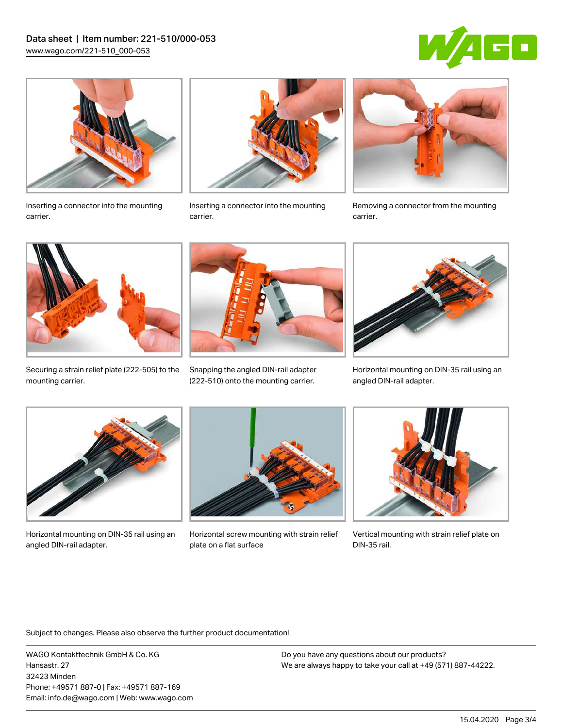



Inserting a connector into the mounting carrier.



Inserting a connector into the mounting carrier.



Removing a connector from the mounting carrier.



Securing a strain relief plate (222‑505) to the mounting carrier.



Snapping the angled DIN-rail adapter (222‑510) onto the mounting carrier.



Horizontal mounting on DIN-35 rail using an angled DIN-rail adapter.



Horizontal mounting on DIN-35 rail using an angled DIN-rail adapter.



Horizontal screw mounting with strain relief plate on a flat surface



Vertical mounting with strain relief plate on DIN-35 rail.

Subject to changes. Please also observe the further product documentation!

WAGO Kontakttechnik GmbH & Co. KG Hansastr. 27 32423 Minden Phone: +49571 887-0 | Fax: +49571 887-169 Email: info.de@wago.com | Web: www.wago.com

Do you have any questions about our products? We are always happy to take your call at +49 (571) 887-44222.